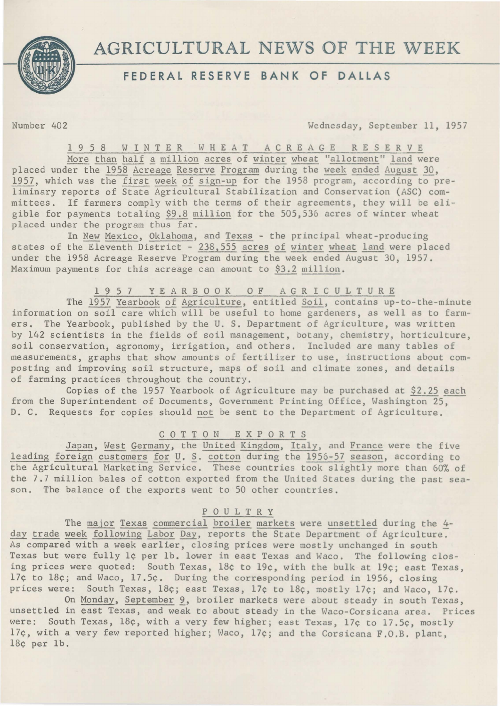

# AGRICULTURAL NEWS OF THE WEEK

## **FEDERAL RESERVE BANK OF DALLAS**

Number 402 Wednesday, September 11, 1957

1 9 5 8 WINTER W H E A T A C R E A G E R E S E R V E

More than half a million acres of winter wheat "allotment" land were placed under the 1958 Acreage Reserve Program during the week ended August 30, 1957, which was the first week of sign-up for the 1958 program, according to preliminary reports of State Agricultural Stabilization and Conservation (ASC) committees. If farmers comply with the terms of their agreements, they will be eligible for payments totaling \$9.8 million for the 505,536 acres of winter wheat placed under the program thus far.

In New Mexico, Oklahoma, and Texas - the principal wheat-producing states of the Eleventh District - 238,555 acres of winter wheat land were placed under the 1958 Acreage Reserve Program during the week ended August 30, 1957. Maximum payments for this acreage can amount to \$3.2 million.

### 1957 YEARBOOK OF AGRICULTURE

The 1957 Yearbook of Agriculture, entitled Soil, contains up-to-the-minute information on soil care which will be useful to home gardeners, as well as to farmers. The Yearbook, published by the U. S. Department of Agriculture, was written by 142 scientists in the fields of soil management, botany, chemistry, horticulture, soil conservation, agronomy, irrigation, and others. Included are many tables of measurements, graphs that show amounts of fertilizer to use, instructions about composting and improving soil structure, maps of soil and climate zones, and details of farming practices throughout the country.

Copies of the 1957 Yearbook of Agriculture may be purchased at \$2.25 each from the Superintendent of Documents, Government Printing Office, Washington 25, D. C. Requests for copies should not be sent to the Department of Agriculture.

#### C 0 T T 0 N E X P 0 R T S

Japan, West Germany, the United Kingdom, Italy, and France were the five leading foreign customers for  $U. S.$  cotton during the 1956-57 season, according to the Agricultural Marketing Service. These countries took slightly more than 60% of the 7.7 million bales of cotton exported from the United States during the past season. The balance of the exports went to 50 other countries.

#### P 0 U L T R Y

The major Texas commercial broiler markets were unsettled during the 4day trade week following Labor Day, reports the State Department of Agriculture. As compared with a week earlier, closing prices were mostly unchanged in south Texas but were fully 1¢ per lb. lower in east Texas and Waco. The following closing prices were quoted: South Texas, 18¢ to 19¢, with the bulk at 19¢; east Texas, 17¢ to 18¢; and Waco, 17.5¢. During the corresponding period in 1956, closing prices were: South Texas, 18¢; east Texas, 17¢ to 18¢, mostly 17¢; and Waco, 17¢.

On Monday, September 9, broiler markets were about steady in south Texas, unsettled in east Texas, and weak to about steady in the Waco-Corsicana area. Prices were: South Texas, 18¢, with a very few higher; east Texas, 17¢ to 17.5¢, mostly 17¢, with *a* very few reported higher; Waco, 17¢; and the Corsicana F.O.B. plant, 18¢ per lb.